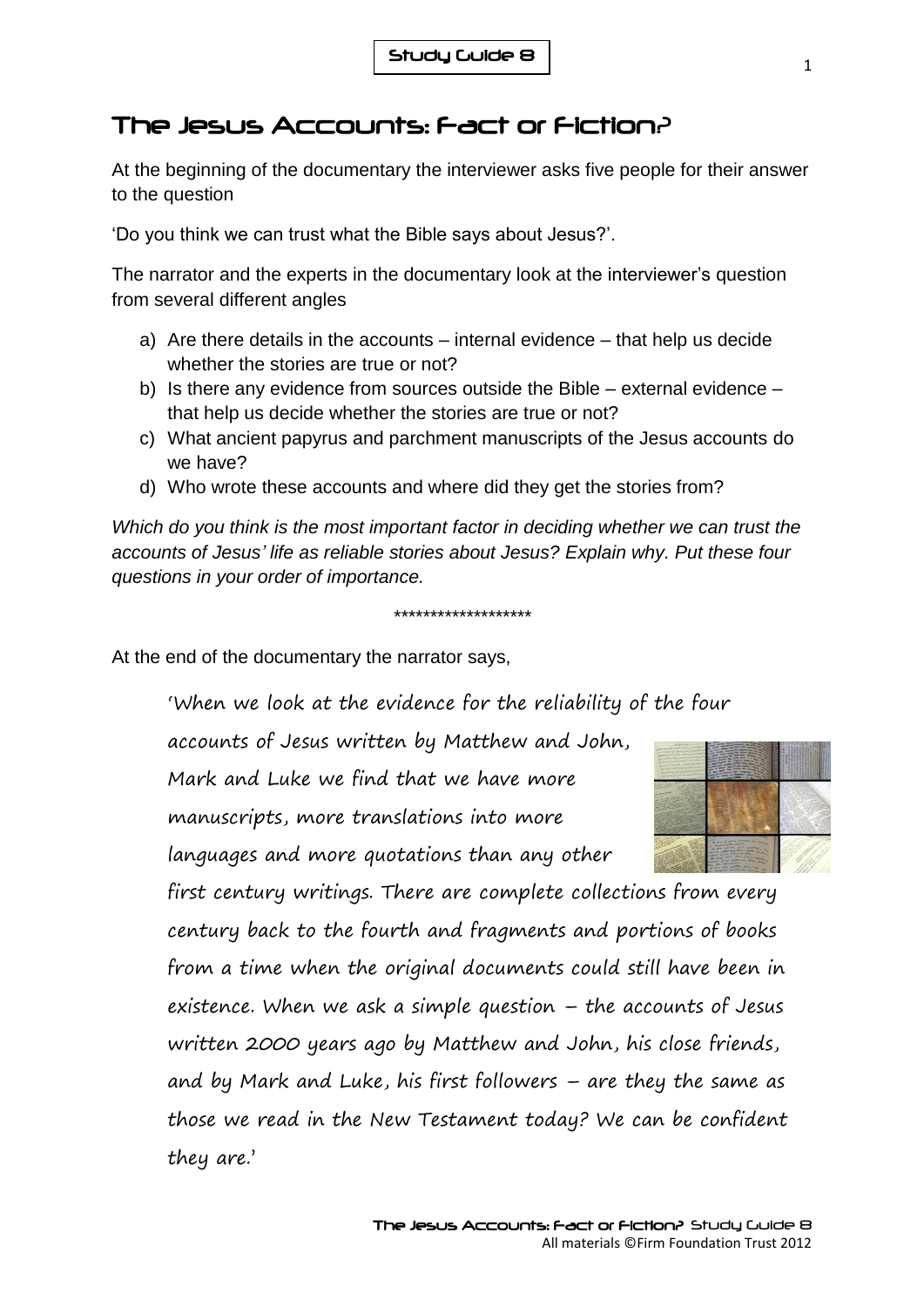## The Jesus Accounts: Fact or Fiction?

At the beginning of the documentary the interviewer asks five people for their answer to the question

'Do you think we can trust what the Bible says about Jesus?'.

The narrator and the experts in the documentary look at the interviewer's question from several different angles

- a) Are there details in the accounts internal evidence that help us decide whether the stories are true or not?
- b) Is there any evidence from sources outside the Bible external evidence that help us decide whether the stories are true or not?
- c) What ancient papyrus and parchment manuscripts of the Jesus accounts do we have?
- d) Who wrote these accounts and where did they get the stories from?

Which do you think is the most important factor in deciding whether we can trust the *accounts of Jesus' life as reliable stories about Jesus? Explain why. Put these four questions in your order of importance.* 

## *\*\*\*\*\*\*\*\*\*\*\*\*\*\*\*\*\*\*\**

At the end of the documentary the narrator says,

'When we look at the evidence for the reliability of the four

accounts of Jesus written by Matthew and John, Mark and Luke we find that we have more manuscripts, more translations into more languages and more quotations than any other



first century writings. There are complete collections from every century back to the fourth and fragments and portions of books from a time when the original documents could still have been in existence. When we ask a simple question – the accounts of Jesus written 2000 years ago by Matthew and John, his close friends, and by Mark and Luke, his first followers – are they the same as those we read in the New Testament today? We can be confident they are.'